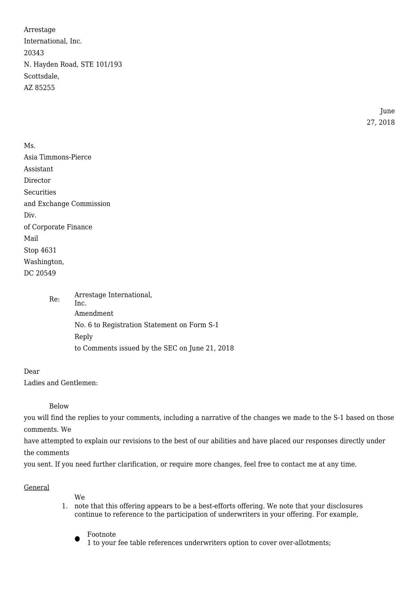Arrestage International, Inc. 20343 N. Hayden Road, STE 101/193 Scottsdale, AZ 85255

> June 27, 2018

Ms. Asia Timmons-Pierce Assistant Director **Securities** and Exchange Commission Div. of Corporate Finance Mail Stop 4631 Washington, DC 20549

> Re: Arrestage International, Inc. Amendment No. 6 to Registration Statement on Form S-1 Reply to Comments issued by the SEC on June 21, 2018

Dear

Ladies and Gentlemen:

Below

you will find the replies to your comments, including a narrative of the changes we made to the S-1 based on those comments. We

have attempted to explain our revisions to the best of our abilities and have placed our responses directly under the comments

you sent. If you need further clarification, or require more changes, feel free to contact me at any time.

#### General

We

1. note that this offering appears to be a best-efforts offering. We note that your disclosures continue to reference to the participation of underwriters in your offering. For example,

 $\bullet$ Footnote

1 to your fee table references underwriters option to cover over-allotments;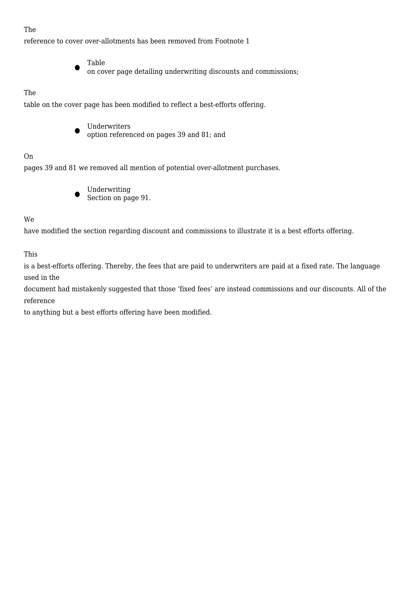### The

reference to cover over-allotments has been removed from Footnote 1

- Table
	- on cover page detailing underwriting discounts and commissions;

### The

table on the cover page has been modified to reflect a best-efforts offering.

 $\bullet$ Underwriters option referenced on pages 39 and 81; and

#### On

pages 39 and 81 we removed all mention of potential over-allotment purchases.

 $\bullet$ Underwriting Section on page 91.

We

have modified the section regarding discount and commissions to illustrate it is a best efforts offering.

This

is a best-efforts offering. Thereby, the fees that are paid to underwriters are paid at a fixed rate. The language used in the

document had mistakenly suggested that those 'fixed fees' are instead commissions and our discounts. All of the reference

to anything but a best efforts offering have been modified.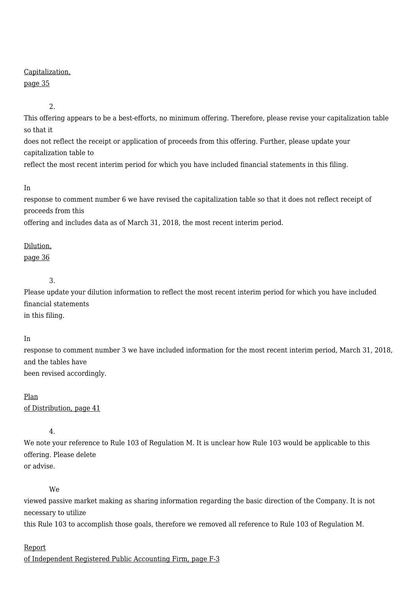### Capitalization,

# page 35

2.

This offering appears to be a best-efforts, no minimum offering. Therefore, please revise your capitalization table so that it

does not reflect the receipt or application of proceeds from this offering. Further, please update your capitalization table to reflect the most recent interim period for which you have included financial statements in this filing.

#### In

response to comment number 6 we have revised the capitalization table so that it does not reflect receipt of proceeds from this

offering and includes data as of March 31, 2018, the most recent interim period.

# Dilution,

page 36

# 3.

Please update your dilution information to reflect the most recent interim period for which you have included financial statements in this filing.

# In

response to comment number 3 we have included information for the most recent interim period, March 31, 2018, and the tables have been revised accordingly.

# Plan

of Distribution, page 41

4.

We note your reference to Rule 103 of Regulation M. It is unclear how Rule 103 would be applicable to this offering. Please delete or advise.

# We

viewed passive market making as sharing information regarding the basic direction of the Company. It is not necessary to utilize

this Rule 103 to accomplish those goals, therefore we removed all reference to Rule 103 of Regulation M.

# Report

of Independent Registered Public Accounting Firm, page F-3